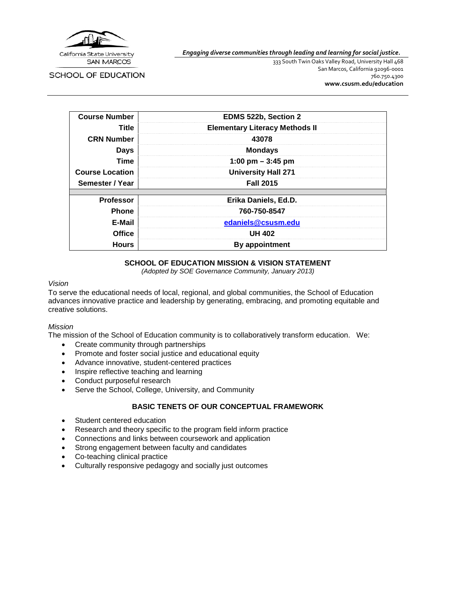

SCHOOL OF EDUCATION

*Engaging diverse communities through leading and learning for social justice.*

333 South Twin Oaks Valley Road, University Hall 468 San Marcos, California 92096-0001 760.750.4300 **[www.csusm.edu/education](http://www.csusm.edu/education)**

| <b>Course Number</b>   | EDMS 522b, Section 2                  |  |
|------------------------|---------------------------------------|--|
| Title                  | <b>Elementary Literacy Methods II</b> |  |
| <b>CRN Number</b>      | 43078                                 |  |
| <b>Days</b>            | <b>Mondays</b>                        |  |
| Time                   | 1:00 pm $-$ 3:45 pm                   |  |
| <b>Course Location</b> | <b>University Hall 271</b>            |  |
| Semester / Year        | <b>Fall 2015</b>                      |  |
|                        |                                       |  |
| <b>Professor</b>       | Erika Daniels, Ed.D.                  |  |
| <b>Phone</b>           | 760-750-8547                          |  |
| E-Mail                 | edaniels@csusm.edu                    |  |
| <b>Office</b>          | <b>UH 402</b>                         |  |
| <b>Hours</b>           | By appointment                        |  |

### **SCHOOL OF EDUCATION MISSION & VISION STATEMENT**

*(Adopted by SOE Governance Community, January 2013)*

#### *Vision*

To serve the educational needs of local, regional, and global communities, the School of Education advances innovative practice and leadership by generating, embracing, and promoting equitable and creative solutions.

#### *Mission*

The mission of the School of Education community is to collaboratively transform education. We:

- Create community through partnerships
- Promote and foster social justice and educational equity
- Advance innovative, student-centered practices
- Inspire reflective teaching and learning
- Conduct purposeful research
- Serve the School, College, University, and Community

#### **BASIC TENETS OF OUR CONCEPTUAL FRAMEWORK**

- Student centered education
- Research and theory specific to the program field inform practice
- Connections and links between coursework and application
- Strong engagement between faculty and candidates
- Co-teaching clinical practice
- Culturally responsive pedagogy and socially just outcomes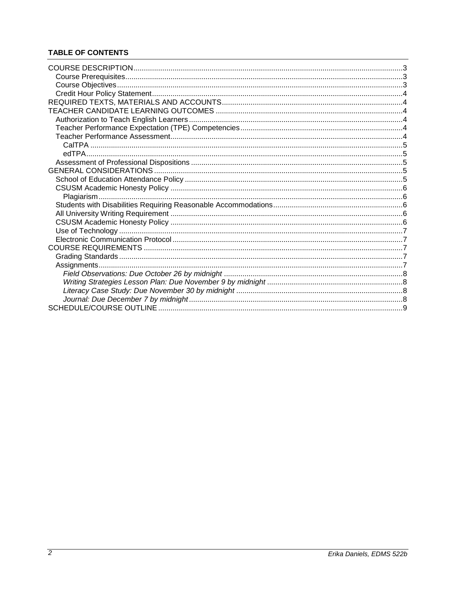# **TABLE OF CONTENTS**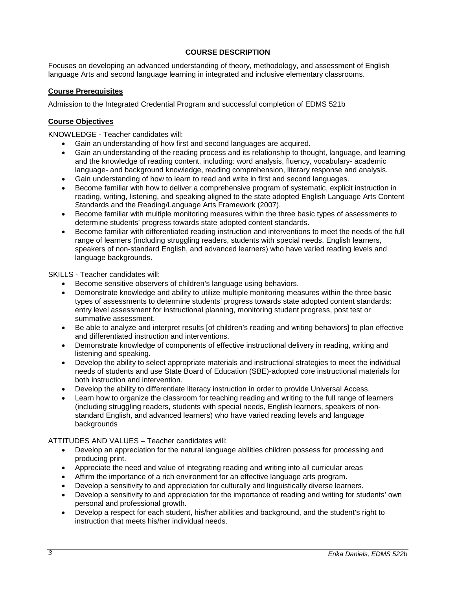## **COURSE DESCRIPTION**

<span id="page-2-0"></span>Focuses on developing an advanced understanding of theory, methodology, and assessment of English language Arts and second language learning in integrated and inclusive elementary classrooms.

#### <span id="page-2-1"></span>**Course Prerequisites**

Admission to the Integrated Credential Program and successful completion of EDMS 521b

#### <span id="page-2-2"></span>**Course Objectives**

KNOWLEDGE - Teacher candidates will:

- Gain an understanding of how first and second languages are acquired.
- Gain an understanding of the reading process and its relationship to thought, language, and learning and the knowledge of reading content, including: word analysis, fluency, vocabulary- academic language- and background knowledge, reading comprehension, literary response and analysis.
- Gain understanding of how to learn to read and write in first and second languages.
- Become familiar with how to deliver a comprehensive program of systematic, explicit instruction in reading, writing, listening, and speaking aligned to the state adopted English Language Arts Content Standards and the Reading/Language Arts Framework (2007).
- Become familiar with multiple monitoring measures within the three basic types of assessments to determine students' progress towards state adopted content standards.
- Become familiar with differentiated reading instruction and interventions to meet the needs of the full range of learners (including struggling readers, students with special needs, English learners, speakers of non-standard English, and advanced learners) who have varied reading levels and language backgrounds.

SKILLS - Teacher candidates will:

- Become sensitive observers of children's language using behaviors.
- Demonstrate knowledge and ability to utilize multiple monitoring measures within the three basic types of assessments to determine students' progress towards state adopted content standards: entry level assessment for instructional planning, monitoring student progress, post test or summative assessment.
- Be able to analyze and interpret results [of children's reading and writing behaviors] to plan effective and differentiated instruction and interventions.
- Demonstrate knowledge of components of effective instructional delivery in reading, writing and listening and speaking.
- Develop the ability to select appropriate materials and instructional strategies to meet the individual needs of students and use State Board of Education (SBE)-adopted core instructional materials for both instruction and intervention.
- Develop the ability to differentiate literacy instruction in order to provide Universal Access.
- Learn how to organize the classroom for teaching reading and writing to the full range of learners (including struggling readers, students with special needs, English learners, speakers of nonstandard English, and advanced learners) who have varied reading levels and language backgrounds

ATTITUDES AND VALUES – Teacher candidates will:

- Develop an appreciation for the natural language abilities children possess for processing and producing print.
- Appreciate the need and value of integrating reading and writing into all curricular areas
- Affirm the importance of a rich environment for an effective language arts program.
- Develop a sensitivity to and appreciation for culturally and linguistically diverse learners.
- Develop a sensitivity to and appreciation for the importance of reading and writing for students' own personal and professional growth.
- Develop a respect for each student, his/her abilities and background, and the student's right to instruction that meets his/her individual needs.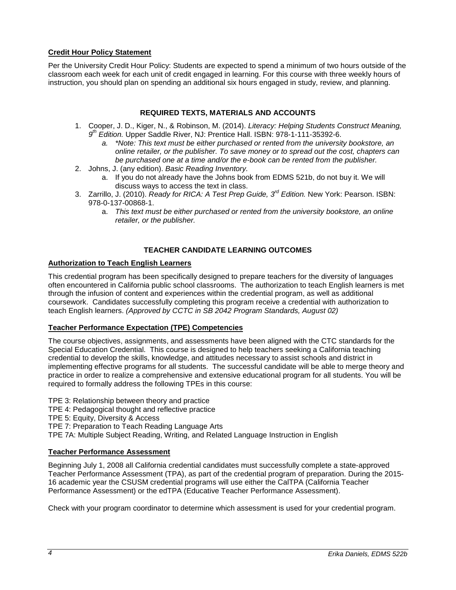## <span id="page-3-0"></span>**Credit Hour Policy Statement**

Per the University Credit Hour Policy: Students are expected to spend a minimum of two hours outside of the classroom each week for each unit of credit engaged in learning. For this course with three weekly hours of instruction, you should plan on spending an additional six hours engaged in study, review, and planning.

## **REQUIRED TEXTS, MATERIALS AND ACCOUNTS**

- <span id="page-3-1"></span>1. Cooper, J. D., Kiger, N., & Robinson, M. (2014). *Literacy: Helping Students Construct Meaning, 9th Edition.* Upper Saddle River, NJ: Prentice Hall. ISBN: 978-1-111-35392-6.
	- *a. \*Note: This text must be either purchased or rented from the university bookstore, an online retailer, or the publisher. To save money or to spread out the cost, chapters can be purchased one at a time and/or the e-book can be rented from the publisher.*
- 2. Johns, J. (any edition). *Basic Reading Inventory.*
	- a. If you do not already have the Johns book from EDMS 521b, do not buy it. We will discuss ways to access the text in class.
- 3. Zarrillo, J. (2010). *Ready for RICA: A Test Prep Guide, 3rd Edition.* New York: Pearson. ISBN: 978-0-137-00868-1.
	- a. *This text must be either purchased or rented from the university bookstore, an online retailer, or the publisher.*

## **TEACHER CANDIDATE LEARNING OUTCOMES**

### <span id="page-3-3"></span><span id="page-3-2"></span>**Authorization to Teach English Learners**

This credential program has been specifically designed to prepare teachers for the diversity of languages often encountered in California public school classrooms. The authorization to teach English learners is met through the infusion of content and experiences within the credential program, as well as additional coursework. Candidates successfully completing this program receive a credential with authorization to teach English learners. *(Approved by CCTC in SB 2042 Program Standards, August 02)*

### <span id="page-3-4"></span>**Teacher Performance Expectation (TPE) Competencies**

The course objectives, assignments, and assessments have been aligned with the CTC standards for the Special Education Credential. This course is designed to help teachers seeking a California teaching credential to develop the skills, knowledge, and attitudes necessary to assist schools and district in implementing effective programs for all students. The successful candidate will be able to merge theory and practice in order to realize a comprehensive and extensive educational program for all students. You will be required to formally address the following TPEs in this course:

TPE 3: Relationship between theory and practice

TPE 4: Pedagogical thought and reflective practice

TPE 5: Equity, Diversity & Access

TPE 7: Preparation to Teach Reading Language Arts

TPE 7A: Multiple Subject Reading, Writing, and Related Language Instruction in English

### <span id="page-3-5"></span>**Teacher Performance Assessment**

Beginning July 1, 2008 all California credential candidates must successfully complete a state-approved Teacher Performance Assessment (TPA), as part of the credential program of preparation. During the 2015- 16 academic year the CSUSM credential programs will use either the CalTPA (California Teacher Performance Assessment) or the edTPA (Educative Teacher Performance Assessment).

Check with your program coordinator to determine which assessment is used for your credential program.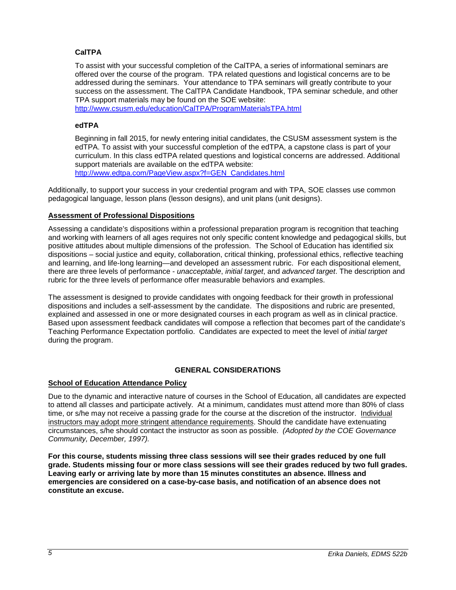## <span id="page-4-0"></span>**CalTPA**

To assist with your successful completion of the CalTPA, a series of informational seminars are offered over the course of the program. TPA related questions and logistical concerns are to be addressed during the seminars. Your attendance to TPA seminars will greatly contribute to your success on the assessment. The CalTPA Candidate Handbook, TPA seminar schedule, and other TPA support materials may be found on the SOE website:

<http://www.csusm.edu/education/CalTPA/ProgramMaterialsTPA.html>

#### <span id="page-4-1"></span>**edTPA**

Beginning in fall 2015, for newly entering initial candidates, the CSUSM assessment system is the edTPA. To assist with your successful completion of the edTPA, a capstone class is part of your curriculum. In this class edTPA related questions and logistical concerns are addressed. Additional support materials are available on the edTPA website: [http://www.edtpa.com/PageView.aspx?f=GEN\\_Candidates.html](http://www.edtpa.com/PageView.aspx?f=GEN_Candidates.html)

Additionally, to support your success in your credential program and with TPA, SOE classes use common pedagogical language, lesson plans (lesson designs), and unit plans (unit designs).

#### <span id="page-4-2"></span>**Assessment of Professional Dispositions**

Assessing a candidate's dispositions within a professional preparation program is recognition that teaching and working with learners of all ages requires not only specific content knowledge and pedagogical skills, but positive attitudes about multiple dimensions of the profession. The School of Education has identified six dispositions – social justice and equity, collaboration, critical thinking, professional ethics, reflective teaching and learning, and life-long learning—and developed an assessment rubric. For each dispositional element, there are three levels of performance - *unacceptable*, *initial target*, and *advanced target*. The description and rubric for the three levels of performance offer measurable behaviors and examples.

The assessment is designed to provide candidates with ongoing feedback for their growth in professional dispositions and includes a self-assessment by the candidate. The dispositions and rubric are presented, explained and assessed in one or more designated courses in each program as well as in clinical practice. Based upon assessment feedback candidates will compose a reflection that becomes part of the candidate's Teaching Performance Expectation portfolio. Candidates are expected to meet the level of *initial target* during the program.

#### **GENERAL CONSIDERATIONS**

### <span id="page-4-4"></span><span id="page-4-3"></span>**School of Education Attendance Policy**

Due to the dynamic and interactive nature of courses in the School of Education, all candidates are expected to attend all classes and participate actively. At a minimum, candidates must attend more than 80% of class time, or s/he may not receive a passing grade for the course at the discretion of the instructor. Individual instructors may adopt more stringent attendance requirements. Should the candidate have extenuating circumstances, s/he should contact the instructor as soon as possible. *(Adopted by the COE Governance Community, December, 1997).*

**For this course, students missing three class sessions will see their grades reduced by one full grade. Students missing four or more class sessions will see their grades reduced by two full grades. Leaving early or arriving late by more than 15 minutes constitutes an absence. Illness and emergencies are considered on a case-by-case basis, and notification of an absence does not constitute an excuse.**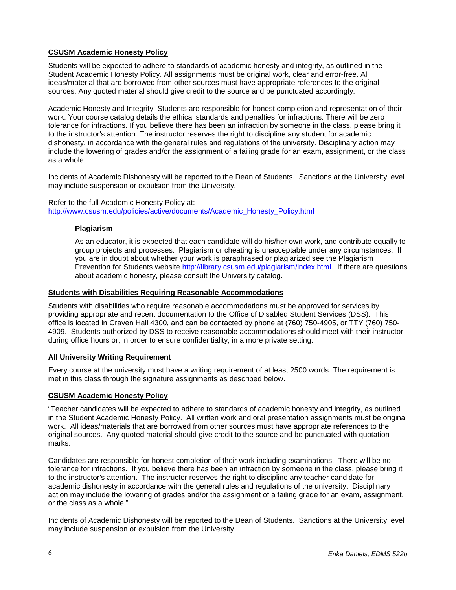## <span id="page-5-0"></span>**CSUSM Academic Honesty Policy**

Students will be expected to adhere to standards of academic honesty and integrity, as outlined in the Student Academic Honesty Policy. All assignments must be original work, clear and error-free. All ideas/material that are borrowed from other sources must have appropriate references to the original sources. Any quoted material should give credit to the source and be punctuated accordingly.

Academic Honesty and Integrity: Students are responsible for honest completion and representation of their work. Your course catalog details the ethical standards and penalties for infractions. There will be zero tolerance for infractions. If you believe there has been an infraction by someone in the class, please bring it to the instructor's attention. The instructor reserves the right to discipline any student for academic dishonesty, in accordance with the general rules and regulations of the university. Disciplinary action may include the lowering of grades and/or the assignment of a failing grade for an exam, assignment, or the class as a whole.

Incidents of Academic Dishonesty will be reported to the Dean of Students. Sanctions at the University level may include suspension or expulsion from the University.

<span id="page-5-1"></span>Refer to the full Academic Honesty Policy at: [http://www.csusm.edu/policies/active/documents/Academic\\_Honesty\\_Policy.html](http://www.csusm.edu/policies/active/documents/Academic_Honesty_Policy.html)

#### **Plagiarism**

As an educator, it is expected that each candidate will do his/her own work, and contribute equally to group projects and processes. Plagiarism or cheating is unacceptable under any circumstances. If you are in doubt about whether your work is paraphrased or plagiarized see the Plagiarism Prevention for Students website [http://library.csusm.edu/plagiarism/index.html.](http://library.csusm.edu/plagiarism/index.html) If there are questions about academic honesty, please consult the University catalog.

#### <span id="page-5-2"></span>**Students with Disabilities Requiring Reasonable Accommodations**

Students with disabilities who require reasonable accommodations must be approved for services by providing appropriate and recent documentation to the Office of Disabled Student Services (DSS). This office is located in Craven Hall 4300, and can be contacted by phone at (760) 750-4905, or TTY (760) 750- 4909. Students authorized by DSS to receive reasonable accommodations should meet with their instructor during office hours or, in order to ensure confidentiality, in a more private setting.

#### <span id="page-5-3"></span>**All University Writing Requirement**

Every course at the university must have a writing requirement of at least 2500 words. The requirement is met in this class through the signature assignments as described below.

### <span id="page-5-4"></span>**CSUSM Academic Honesty Policy**

"Teacher candidates will be expected to adhere to standards of academic honesty and integrity, as outlined in the Student Academic Honesty Policy. All written work and oral presentation assignments must be original work. All ideas/materials that are borrowed from other sources must have appropriate references to the original sources. Any quoted material should give credit to the source and be punctuated with quotation marks.

Candidates are responsible for honest completion of their work including examinations. There will be no tolerance for infractions. If you believe there has been an infraction by someone in the class, please bring it to the instructor's attention. The instructor reserves the right to discipline any teacher candidate for academic dishonesty in accordance with the general rules and regulations of the university. Disciplinary action may include the lowering of grades and/or the assignment of a failing grade for an exam, assignment, or the class as a whole."

Incidents of Academic Dishonesty will be reported to the Dean of Students. Sanctions at the University level may include suspension or expulsion from the University.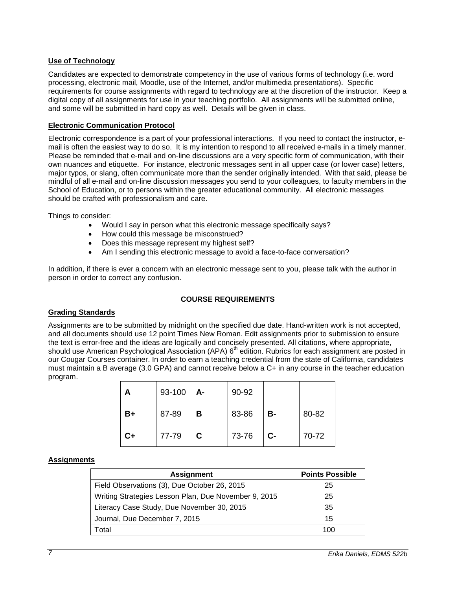### <span id="page-6-0"></span>**Use of Technology**

Candidates are expected to demonstrate competency in the use of various forms of technology (i.e. word processing, electronic mail, Moodle, use of the Internet, and/or multimedia presentations). Specific requirements for course assignments with regard to technology are at the discretion of the instructor. Keep a digital copy of all assignments for use in your teaching portfolio. All assignments will be submitted online, and some will be submitted in hard copy as well. Details will be given in class.

### <span id="page-6-1"></span>**Electronic Communication Protocol**

Electronic correspondence is a part of your professional interactions. If you need to contact the instructor, email is often the easiest way to do so. It is my intention to respond to all received e-mails in a timely manner. Please be reminded that e-mail and on-line discussions are a very specific form of communication, with their own nuances and etiquette. For instance, electronic messages sent in all upper case (or lower case) letters, major typos, or slang, often communicate more than the sender originally intended. With that said, please be mindful of all e-mail and on-line discussion messages you send to your colleagues, to faculty members in the School of Education, or to persons within the greater educational community. All electronic messages should be crafted with professionalism and care.

Things to consider:

- Would I say in person what this electronic message specifically says?
- How could this message be misconstrued?
- Does this message represent my highest self?
- Am I sending this electronic message to avoid a face-to-face conversation?

In addition, if there is ever a concern with an electronic message sent to you, please talk with the author in person in order to correct any confusion.

## **COURSE REQUIREMENTS**

#### <span id="page-6-3"></span><span id="page-6-2"></span>**Grading Standards**

Assignments are to be submitted by midnight on the specified due date. Hand-written work is not accepted, and all documents should use 12 point Times New Roman. Edit assignments prior to submission to ensure the text is error-free and the ideas are logically and concisely presented. All citations, where appropriate, should use American Psychological Association (APA)  $6<sup>th</sup>$  edition. Rubrics for each assignment are posted in our Cougar Courses container. In order to earn a teaching credential from the state of California, candidates must maintain a B average (3.0 GPA) and cannot receive below a C+ in any course in the teacher education program.

| А    | 93-100 | A- | 90-92 |      |       |
|------|--------|----|-------|------|-------|
| B+   | 87-89  | В  | 83-86 | В-   | 80-82 |
| $C+$ | 77-79  | C  | 73-76 | $C-$ | 70-72 |

### <span id="page-6-4"></span>**Assignments**

| <b>Assignment</b>                                    | <b>Points Possible</b> |  |
|------------------------------------------------------|------------------------|--|
| Field Observations (3), Due October 26, 2015         | 25                     |  |
| Writing Strategies Lesson Plan, Due November 9, 2015 | 25                     |  |
| Literacy Case Study, Due November 30, 2015           | 35                     |  |
| Journal, Due December 7, 2015                        | 15                     |  |
| Гоtal                                                | 100                    |  |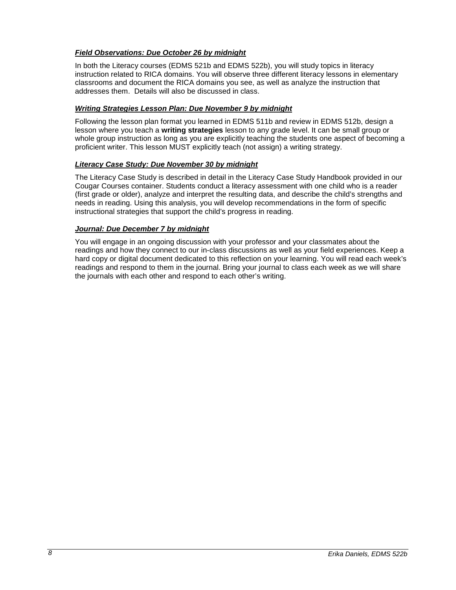## <span id="page-7-0"></span>*Field Observations: Due October 26 by midnight*

In both the Literacy courses (EDMS 521b and EDMS 522b), you will study topics in literacy instruction related to RICA domains. You will observe three different literacy lessons in elementary classrooms and document the RICA domains you see, as well as analyze the instruction that addresses them. Details will also be discussed in class.

### <span id="page-7-1"></span>*Writing Strategies Lesson Plan: Due November 9 by midnight*

Following the lesson plan format you learned in EDMS 511b and review in EDMS 512b, design a lesson where you teach a **writing strategies** lesson to any grade level. It can be small group or whole group instruction as long as you are explicitly teaching the students one aspect of becoming a proficient writer. This lesson MUST explicitly teach (not assign) a writing strategy.

### <span id="page-7-2"></span>*Literacy Case Study: Due November 30 by midnight*

The Literacy Case Study is described in detail in the Literacy Case Study Handbook provided in our Cougar Courses container. Students conduct a literacy assessment with one child who is a reader (first grade or older), analyze and interpret the resulting data, and describe the child's strengths and needs in reading. Using this analysis, you will develop recommendations in the form of specific instructional strategies that support the child's progress in reading.

### <span id="page-7-3"></span>*Journal: Due December 7 by midnight*

You will engage in an ongoing discussion with your professor and your classmates about the readings and how they connect to our in-class discussions as well as your field experiences. Keep a hard copy or digital document dedicated to this reflection on your learning. You will read each week's readings and respond to them in the journal. Bring your journal to class each week as we will share the journals with each other and respond to each other's writing.